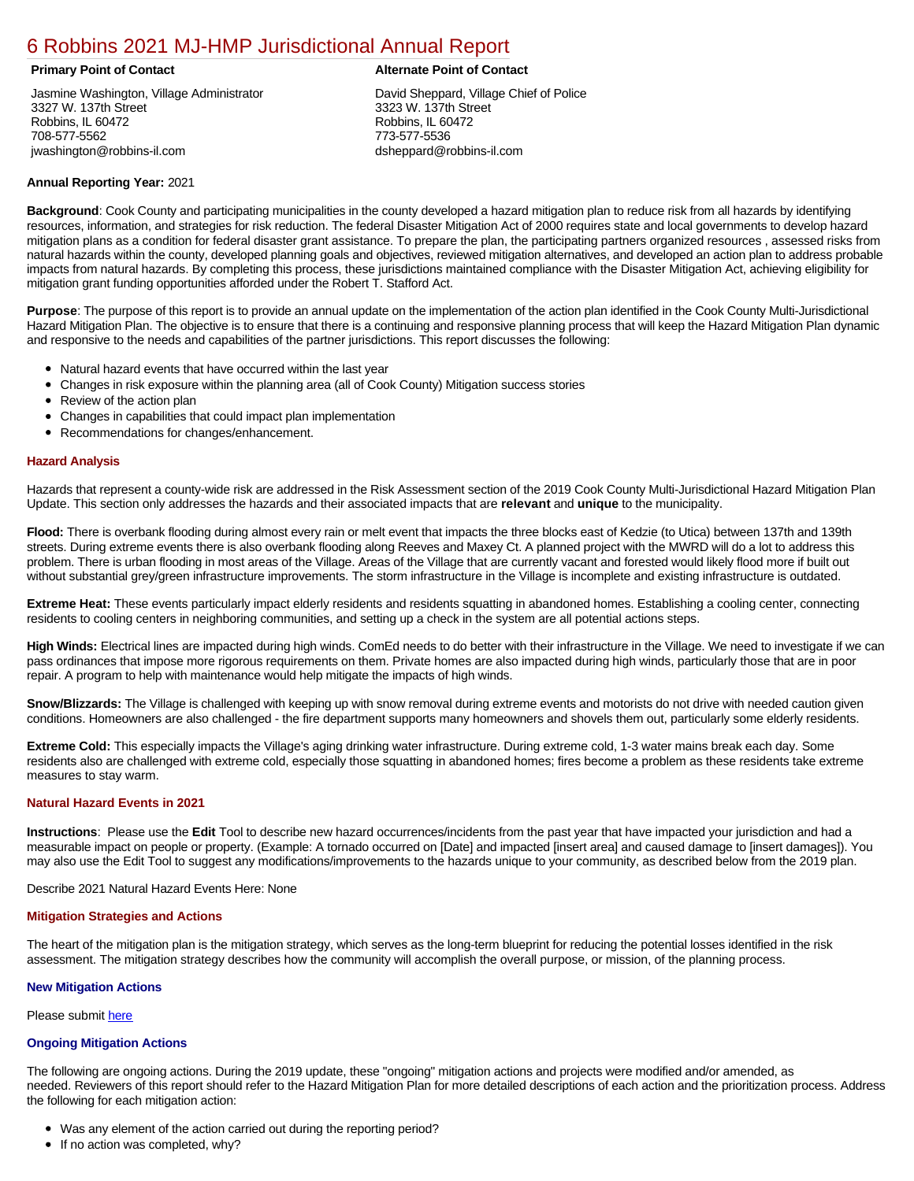# [6 Robbins 2021 MJ-HMP Jurisdictional Annual Report](https://robbins.isc-cemp.com/Cemp/Details?id=8322901)

Jasmine Washington, Village Administrator 3327 W. 137th Street Robbins, IL 60472 708-577-5562 jwashington@robbins-il.com

# **Primary Point of Contact Alternate Point of Contact**

David Sheppard, Village Chief of Police 3323 W. 137th Street Robbins, IL 60472 773-577-5536 dsheppard@robbins-il.com

# **Annual Reporting Year:** 2021

**Background**: Cook County and participating municipalities in the county developed a hazard mitigation plan to reduce risk from all hazards by identifying resources, information, and strategies for risk reduction. The federal Disaster Mitigation Act of 2000 requires state and local governments to develop hazard mitigation plans as a condition for federal disaster grant assistance. To prepare the plan, the participating partners organized resources , assessed risks from natural hazards within the county, developed planning goals and objectives, reviewed mitigation alternatives, and developed an action plan to address probable impacts from natural hazards. By completing this process, these jurisdictions maintained compliance with the Disaster Mitigation Act, achieving eligibility for mitigation grant funding opportunities afforded under the Robert T. Stafford Act.

**Purpose**: The purpose of this report is to provide an annual update on the implementation of the action plan identified in the Cook County Multi-Jurisdictional Hazard Mitigation Plan. The objective is to ensure that there is a continuing and responsive planning process that will keep the Hazard Mitigation Plan dynamic and responsive to the needs and capabilities of the partner jurisdictions. This report discusses the following:

- Natural hazard events that have occurred within the last year
- $\bullet$ Changes in risk exposure within the planning area (all of Cook County) Mitigation success stories
- Review of the action plan  $\bullet$
- $\bullet$ Changes in capabilities that could impact plan implementation
- Recommendations for changes/enhancement.  $\bullet$

# **Hazard Analysis**

Hazards that represent a county-wide risk are addressed in the Risk Assessment section of the 2019 Cook County Multi-Jurisdictional Hazard Mitigation Plan Update. This section only addresses the hazards and their associated impacts that are **relevant** and **unique** to the municipality.

**Flood:** There is overbank flooding during almost every rain or melt event that impacts the three blocks east of Kedzie (to Utica) between 137th and 139th streets. During extreme events there is also overbank flooding along Reeves and Maxey Ct. A planned project with the MWRD will do a lot to address this problem. There is urban flooding in most areas of the Village. Areas of the Village that are currently vacant and forested would likely flood more if built out without substantial grey/green infrastructure improvements. The storm infrastructure in the Village is incomplete and existing infrastructure is outdated.

**Extreme Heat:** These events particularly impact elderly residents and residents squatting in abandoned homes. Establishing a cooling center, connecting residents to cooling centers in neighboring communities, and setting up a check in the system are all potential actions steps.

**High Winds:** Electrical lines are impacted during high winds. ComEd needs to do better with their infrastructure in the Village. We need to investigate if we can pass ordinances that impose more rigorous requirements on them. Private homes are also impacted during high winds, particularly those that are in poor repair. A program to help with maintenance would help mitigate the impacts of high winds.

**Snow/Blizzards:** The Village is challenged with keeping up with snow removal during extreme events and motorists do not drive with needed caution given conditions. Homeowners are also challenged - the fire department supports many homeowners and shovels them out, particularly some elderly residents.

**Extreme Cold:** This especially impacts the Village's aging drinking water infrastructure. During extreme cold, 1-3 water mains break each day. Some residents also are challenged with extreme cold, especially those squatting in abandoned homes; fires become a problem as these residents take extreme measures to stay warm.

## **Natural Hazard Events in 2021**

**Instructions**: Please use the **Edit** Tool to describe new hazard occurrences/incidents from the past year that have impacted your jurisdiction and had a measurable impact on people or property. (Example: A tornado occurred on [Date] and impacted [insert area] and caused damage to [insert damages]). You may also use the Edit Tool to suggest any modifications/improvements to the hazards unique to your community, as described below from the 2019 plan.

Describe 2021 Natural Hazard Events Here: None

## **Mitigation Strategies and Actions**

The heart of the mitigation plan is the mitigation strategy, which serves as the long-term blueprint for reducing the potential losses identified in the risk assessment. The mitigation strategy describes how the community will accomplish the overall purpose, or mission, of the planning process.

## **New Mitigation Actions**

Please submit [here](https://integratedsolutions.wufoo.com/forms/mg21jvf0jn639o/)

## **Ongoing Mitigation Actions**

The following are ongoing actions. During the 2019 update, these "ongoing" mitigation actions and projects were modified and/or amended, as needed. Reviewers of this report should refer to the Hazard Mitigation Plan for more detailed descriptions of each action and the prioritization process. Address the following for each mitigation action:

- Was any element of the action carried out during the reporting period?
- If no action was completed, why?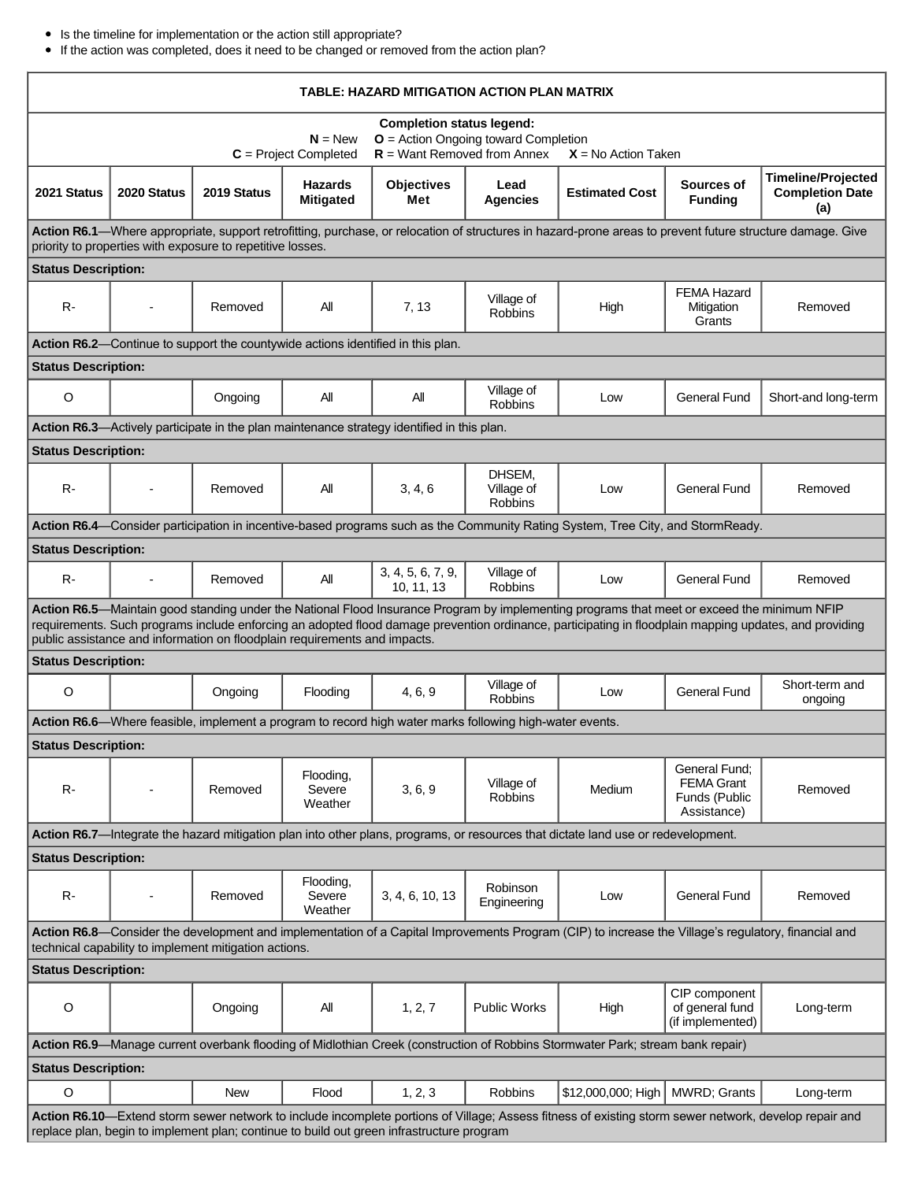- Is the timeline for implementation or the action still appropriate?
- If the action was completed, does it need to be changed or removed from the action plan?

| TABLE: HAZARD MITIGATION ACTION PLAN MATRIX                                                                                                                                                                                                                                                                                                                                        |                          |             |                                    |                                                                                                                 |                                        |                                                                                                                                   |                                                                    |                                                            |  |  |  |
|------------------------------------------------------------------------------------------------------------------------------------------------------------------------------------------------------------------------------------------------------------------------------------------------------------------------------------------------------------------------------------|--------------------------|-------------|------------------------------------|-----------------------------------------------------------------------------------------------------------------|----------------------------------------|-----------------------------------------------------------------------------------------------------------------------------------|--------------------------------------------------------------------|------------------------------------------------------------|--|--|--|
| <b>Completion status legend:</b><br>$N = New$<br>$O =$ Action Ongoing toward Completion<br>$R =$ Want Removed from Annex<br>$C = Project Completed$<br>$X = No$ Action Taken                                                                                                                                                                                                       |                          |             |                                    |                                                                                                                 |                                        |                                                                                                                                   |                                                                    |                                                            |  |  |  |
| 2021 Status                                                                                                                                                                                                                                                                                                                                                                        | 2020 Status              | 2019 Status | <b>Hazards</b><br><b>Mitigated</b> | <b>Objectives</b><br>Met                                                                                        | Lead<br><b>Agencies</b>                | <b>Estimated Cost</b>                                                                                                             | Sources of<br><b>Funding</b>                                       | <b>Timeline/Projected</b><br><b>Completion Date</b><br>(a) |  |  |  |
| Action R6.1-Where appropriate, support retrofitting, purchase, or relocation of structures in hazard-prone areas to prevent future structure damage. Give<br>priority to properties with exposure to repetitive losses.                                                                                                                                                            |                          |             |                                    |                                                                                                                 |                                        |                                                                                                                                   |                                                                    |                                                            |  |  |  |
| <b>Status Description:</b>                                                                                                                                                                                                                                                                                                                                                         |                          |             |                                    |                                                                                                                 |                                        |                                                                                                                                   |                                                                    |                                                            |  |  |  |
| $R -$                                                                                                                                                                                                                                                                                                                                                                              |                          | Removed     | Αll                                | 7, 13                                                                                                           | Village of<br><b>Robbins</b>           | High                                                                                                                              | <b>FEMA Hazard</b><br>Mitigation<br>Grants                         | Removed                                                    |  |  |  |
| Action R6.2-Continue to support the countywide actions identified in this plan.                                                                                                                                                                                                                                                                                                    |                          |             |                                    |                                                                                                                 |                                        |                                                                                                                                   |                                                                    |                                                            |  |  |  |
| <b>Status Description:</b>                                                                                                                                                                                                                                                                                                                                                         |                          |             |                                    |                                                                                                                 |                                        |                                                                                                                                   |                                                                    |                                                            |  |  |  |
| O                                                                                                                                                                                                                                                                                                                                                                                  |                          | Ongoing     | Αll                                | ΑIΙ                                                                                                             | Village of<br><b>Robbins</b>           | Low                                                                                                                               | <b>General Fund</b>                                                | Short-and long-term                                        |  |  |  |
|                                                                                                                                                                                                                                                                                                                                                                                    |                          |             |                                    | Action R6.3—Actively participate in the plan maintenance strategy identified in this plan.                      |                                        |                                                                                                                                   |                                                                    |                                                            |  |  |  |
| <b>Status Description:</b>                                                                                                                                                                                                                                                                                                                                                         |                          |             |                                    |                                                                                                                 |                                        |                                                                                                                                   |                                                                    |                                                            |  |  |  |
| $R -$                                                                                                                                                                                                                                                                                                                                                                              |                          | Removed     | ΑIΙ                                | 3, 4, 6                                                                                                         | DHSEM,<br>Village of<br><b>Robbins</b> | Low                                                                                                                               | <b>General Fund</b>                                                | Removed                                                    |  |  |  |
|                                                                                                                                                                                                                                                                                                                                                                                    |                          |             |                                    |                                                                                                                 |                                        | Action R6.4—Consider participation in incentive-based programs such as the Community Rating System, Tree City, and StormReady.    |                                                                    |                                                            |  |  |  |
| <b>Status Description:</b>                                                                                                                                                                                                                                                                                                                                                         |                          |             |                                    |                                                                                                                 |                                        |                                                                                                                                   |                                                                    |                                                            |  |  |  |
| $R -$                                                                                                                                                                                                                                                                                                                                                                              |                          | Removed     | All                                | 3, 4, 5, 6, 7, 9,<br>10, 11, 13                                                                                 | Village of<br><b>Robbins</b>           | Low                                                                                                                               | <b>General Fund</b>                                                | Removed                                                    |  |  |  |
| Action R6.5—Maintain good standing under the National Flood Insurance Program by implementing programs that meet or exceed the minimum NFIP<br>requirements. Such programs include enforcing an adopted flood damage prevention ordinance, participating in floodplain mapping updates, and providing<br>public assistance and information on floodplain requirements and impacts. |                          |             |                                    |                                                                                                                 |                                        |                                                                                                                                   |                                                                    |                                                            |  |  |  |
| <b>Status Description:</b>                                                                                                                                                                                                                                                                                                                                                         |                          |             |                                    |                                                                                                                 |                                        |                                                                                                                                   |                                                                    |                                                            |  |  |  |
| O                                                                                                                                                                                                                                                                                                                                                                                  |                          | Ongoing     | Flooding                           | 4, 6, 9                                                                                                         | Village of<br><b>Robbins</b>           | Low                                                                                                                               | <b>General Fund</b>                                                | Short-term and<br>ongoing                                  |  |  |  |
|                                                                                                                                                                                                                                                                                                                                                                                    |                          |             |                                    | <b>Action R6.6</b> —Where feasible, implement a program to record high water marks following high-water events. |                                        |                                                                                                                                   |                                                                    |                                                            |  |  |  |
| <b>Status Description:</b>                                                                                                                                                                                                                                                                                                                                                         |                          |             |                                    |                                                                                                                 |                                        |                                                                                                                                   |                                                                    |                                                            |  |  |  |
| $R -$                                                                                                                                                                                                                                                                                                                                                                              | $\blacksquare$           | Removed     | Flooding,<br>Severe<br>Weather     | 3, 6, 9                                                                                                         | Village of<br><b>Robbins</b>           | Medium                                                                                                                            | General Fund;<br><b>FEMA Grant</b><br>Funds (Public<br>Assistance) | Removed                                                    |  |  |  |
|                                                                                                                                                                                                                                                                                                                                                                                    |                          |             |                                    |                                                                                                                 |                                        | Action R6.7-Integrate the hazard mitigation plan into other plans, programs, or resources that dictate land use or redevelopment. |                                                                    |                                                            |  |  |  |
| <b>Status Description:</b>                                                                                                                                                                                                                                                                                                                                                         |                          |             |                                    |                                                                                                                 |                                        |                                                                                                                                   |                                                                    |                                                            |  |  |  |
| $R -$                                                                                                                                                                                                                                                                                                                                                                              | $\overline{\phantom{a}}$ | Removed     | Flooding,<br>Severe<br>Weather     | 3, 4, 6, 10, 13                                                                                                 | Robinson<br>Engineering                | Low                                                                                                                               | <b>General Fund</b>                                                | Removed                                                    |  |  |  |
| Action R6.8—Consider the development and implementation of a Capital Improvements Program (CIP) to increase the Village's regulatory, financial and<br>technical capability to implement mitigation actions.                                                                                                                                                                       |                          |             |                                    |                                                                                                                 |                                        |                                                                                                                                   |                                                                    |                                                            |  |  |  |
| <b>Status Description:</b>                                                                                                                                                                                                                                                                                                                                                         |                          |             |                                    |                                                                                                                 |                                        |                                                                                                                                   |                                                                    |                                                            |  |  |  |
| $\mathsf O$                                                                                                                                                                                                                                                                                                                                                                        |                          | Ongoing     | Αll                                | 1, 2, 7                                                                                                         | <b>Public Works</b>                    | High                                                                                                                              | CIP component<br>of general fund<br>(if implemented)               | Long-term                                                  |  |  |  |
| Action R6.9—Manage current overbank flooding of Midlothian Creek (construction of Robbins Stormwater Park; stream bank repair)                                                                                                                                                                                                                                                     |                          |             |                                    |                                                                                                                 |                                        |                                                                                                                                   |                                                                    |                                                            |  |  |  |
| <b>Status Description:</b>                                                                                                                                                                                                                                                                                                                                                         |                          |             |                                    |                                                                                                                 |                                        |                                                                                                                                   |                                                                    |                                                            |  |  |  |
| O                                                                                                                                                                                                                                                                                                                                                                                  |                          | <b>New</b>  | Flood                              | 1, 2, 3                                                                                                         | <b>Robbins</b>                         | \$12,000,000; High                                                                                                                | MWRD; Grants                                                       | Long-term                                                  |  |  |  |
| Action R6.10—Extend storm sewer network to include incomplete portions of Village; Assess fitness of existing storm sewer network, develop repair and<br>replace plan, begin to implement plan; continue to build out green infrastructure program                                                                                                                                 |                          |             |                                    |                                                                                                                 |                                        |                                                                                                                                   |                                                                    |                                                            |  |  |  |